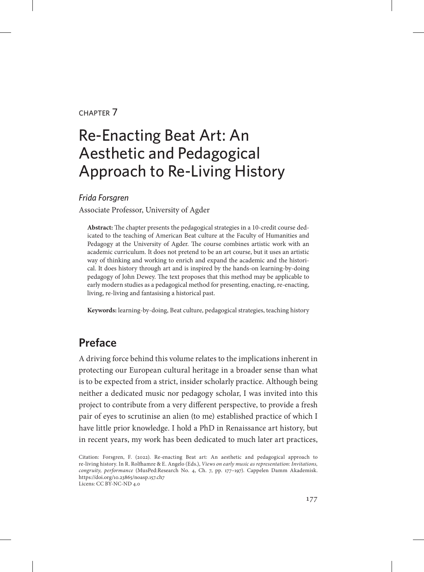#### chapter 7

# Re-Enacting Beat Art: An Aesthetic and Pedagogical Approach to Re-Living History

#### *Frida Forsgren*

Associate Professor, University of Agder

**Abstract:** The chapter presents the pedagogical strategies in a 10-credit course dedicated to the teaching of American Beat culture at the Faculty of Humanities and Pedagogy at the University of Agder. The course combines artistic work with an academic curriculum. It does not pretend to be an art course, but it uses an artistic way of thinking and working to enrich and expand the academic and the historical. It does history through art and is inspired by the hands-on learning-by-doing pedagogy of John Dewey. The text proposes that this method may be applicable to early modern studies as a pedagogical method for presenting, enacting, re-enacting, living, re-living and fantasising a historical past.

**Keywords:** learning-by-doing, Beat culture, pedagogical strategies, teaching history

## **Preface**

A driving force behind this volume relates to the implications inherent in protecting our European cultural heritage in a broader sense than what is to be expected from a strict, insider scholarly practice. Although being neither a dedicated music nor pedagogy scholar, I was invited into this project to contribute from a very different perspective, to provide a fresh pair of eyes to scrutinise an alien (to me) established practice of which I have little prior knowledge. I hold a PhD in Renaissance art history, but in recent years, my work has been dedicated to much later art practices,

Citation: Forsgren, F. (2022). Re-enacting Beat art: An aesthetic and pedagogical approach to re-living history. In R. Rolfhamre & E. Angelo (Eds.), *Views on early music as representation: Invitations, congruity, performance* (MusPed:Research No. 4, Ch. 7, pp. 177–197). Cappelen Damm Akademisk. https://doi.org/10.23865/noasp.157.ch7 Licens: CC BY-NC-ND 4.0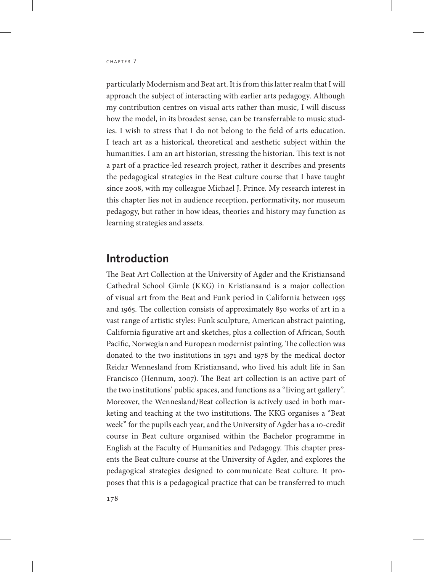particularly Modernism and Beat art. It is from this latter realm that I will approach the subject of interacting with earlier arts pedagogy. Although my contribution centres on visual arts rather than music, I will discuss how the model, in its broadest sense, can be transferrable to music studies. I wish to stress that I do not belong to the field of arts education. I teach art as a historical, theoretical and aesthetic subject within the humanities. I am an art historian, stressing the historian. This text is not a part of a practice-led research project, rather it describes and presents the pedagogical strategies in the Beat culture course that I have taught since 2008, with my colleague Michael J. Prince. My research interest in this chapter lies not in audience reception, performativity, nor museum pedagogy, but rather in how ideas, theories and history may function as learning strategies and assets.

### **Introduction**

The Beat Art Collection at the University of Agder and the Kristiansand Cathedral School Gimle (KKG) in Kristiansand is a major collection of visual art from the Beat and Funk period in California between 1955 and 1965. The collection consists of approximately 850 works of art in a vast range of artistic styles: Funk sculpture, American abstract painting, California figurative art and sketches, plus a collection of African, South Pacific, Norwegian and European modernist painting. The collection was donated to the two institutions in 1971 and 1978 by the medical doctor Reidar Wennesland from Kristiansand, who lived his adult life in San Francisco (Hennum, 2007). The Beat art collection is an active part of the two institutions' public spaces, and functions as a "living art gallery". Moreover, the Wennesland/Beat collection is actively used in both marketing and teaching at the two institutions. The KKG organises a "Beat week" for the pupils each year, and the University of Agder has a 10-credit course in Beat culture organised within the Bachelor programme in English at the Faculty of Humanities and Pedagogy. This chapter presents the Beat culture course at the University of Agder, and explores the pedagogical strategies designed to communicate Beat culture. It proposes that this is a pedagogical practice that can be transferred to much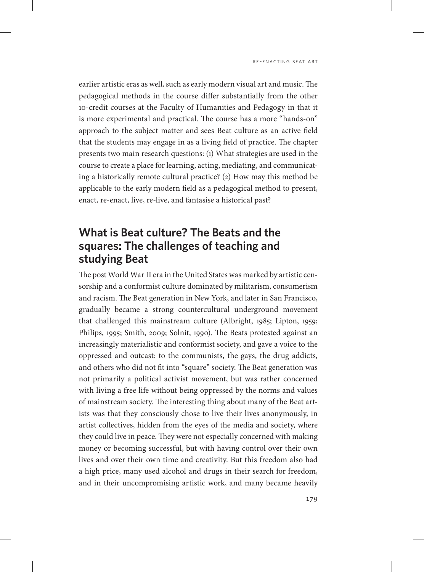earlier artistic eras as well, such as early modern visual art and music. The pedagogical methods in the course differ substantially from the other 10-credit courses at the Faculty of Humanities and Pedagogy in that it is more experimental and practical. The course has a more "hands-on" approach to the subject matter and sees Beat culture as an active field that the students may engage in as a living field of practice. The chapter presents two main research questions: (1) What strategies are used in the course to create a place for learning, acting, mediating, and communicating a historically remote cultural practice? (2) How may this method be applicable to the early modern field as a pedagogical method to present, enact, re-enact, live, re-live, and fantasise a historical past?

### **What is Beat culture? The Beats and the squares: The challenges of teaching and studying Beat**

The post World War II era in the United States was marked by artistic censorship and a conformist culture dominated by militarism, consumerism and racism. The Beat generation in New York, and later in San Francisco, gradually became a strong countercultural underground movement that challenged this mainstream culture (Albright, 1985; Lipton, 1959; Philips, 1995; Smith, 2009; Solnit, 1990). The Beats protested against an increasingly materialistic and conformist society, and gave a voice to the oppressed and outcast: to the communists, the gays, the drug addicts, and others who did not fit into "square" society. The Beat generation was not primarily a political activist movement, but was rather concerned with living a free life without being oppressed by the norms and values of mainstream society. The interesting thing about many of the Beat artists was that they consciously chose to live their lives anonymously, in artist collectives, hidden from the eyes of the media and society, where they could live in peace. They were not especially concerned with making money or becoming successful, but with having control over their own lives and over their own time and creativity. But this freedom also had a high price, many used alcohol and drugs in their search for freedom, and in their uncompromising artistic work, and many became heavily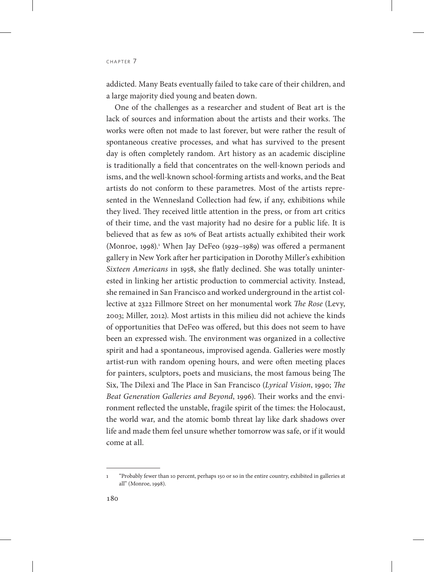addicted. Many Beats eventually failed to take care of their children, and a large majority died young and beaten down.

One of the challenges as a researcher and student of Beat art is the lack of sources and information about the artists and their works. The works were often not made to last forever, but were rather the result of spontaneous creative processes, and what has survived to the present day is often completely random. Art history as an academic discipline is traditionally a field that concentrates on the well-known periods and isms, and the well-known school-forming artists and works, and the Beat artists do not conform to these parametres. Most of the artists represented in the Wennesland Collection had few, if any, exhibitions while they lived. They received little attention in the press, or from art critics of their time, and the vast majority had no desire for a public life. It is believed that as few as 10% of Beat artists actually exhibited their work (Monroe, 1998).<sup>1</sup> When Jay DeFeo (1929–1989) was offered a permanent gallery in New York after her participation in Dorothy Miller's exhibition *Sixteen Americans* in 1958, she flatly declined. She was totally uninterested in linking her artistic production to commercial activity. Instead, she remained in San Francisco and worked underground in the artist collective at 2322 Fillmore Street on her monumental work *The Rose* (Levy, 2003; Miller, 2012). Most artists in this milieu did not achieve the kinds of opportunities that DeFeo was offered, but this does not seem to have been an expressed wish. The environment was organized in a collective spirit and had a spontaneous, improvised agenda. Galleries were mostly artist-run with random opening hours, and were often meeting places for painters, sculptors, poets and musicians, the most famous being The Six, The Dilexi and The Place in San Francisco (*Lyrical Vision*, 1990; *The Beat Generation Galleries and Beyond*, 1996). Their works and the environment reflected the unstable, fragile spirit of the times: the Holocaust, the world war, and the atomic bomb threat lay like dark shadows over life and made them feel unsure whether tomorrow was safe, or if it would come at all.

<sup>1</sup> "Probably fewer than 10 percent, perhaps 150 or so in the entire country, exhibited in galleries at all" (Monroe, 1998).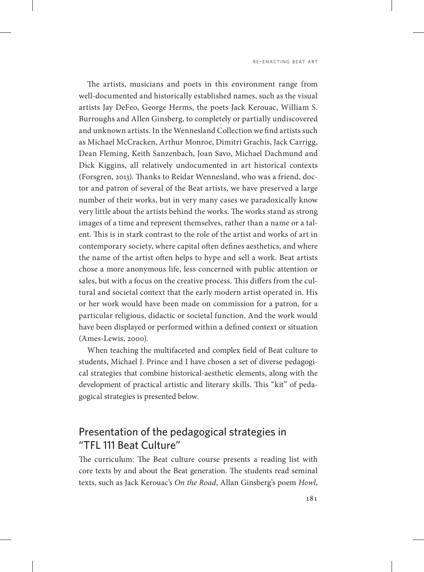The artists, musicians and poets in this environment range from well-documented and historically established names, such as the visual artists Jay DeFeo, George Herms, the poets Jack Kerouac, William S. Burroughs and Allen Ginsberg, to completely or partially undiscovered and unknown artists. In the Wennesland Collection we find artists such as Michael McCracken, Arthur Monroe, Dimitri Grachis, Jack Carrigg, Dean Fleming, Keith Sanzenbach, Joan Savo, Michael Dachmund and Dick Kiggins, all relatively undocumented in art historical contexts (Forsgren, 2013). Thanks to Reidar Wennesland, who was a friend, doctor and patron of several of the Beat artists, we have preserved a large number of their works, but in very many cases we paradoxically know very little about the artists behind the works. The works stand as strong images of a time and represent themselves, rather than a name or a talent. This is in stark contrast to the role of the artist and works of art in contemporary society, where capital often defines aesthetics, and where the name of the artist often helps to hype and sell a work. Beat artists chose a more anonymous life, less concerned with public attention or sales, but with a focus on the creative process. This differs from the cultural and societal context that the early modern artist operated in. His or her work would have been made on commission for a patron, for a particular religious, didactic or societal function. And the work would have been displayed or performed within a defined context or situation (Ames-Lewis, 2000).

When teaching the multifaceted and complex field of Beat culture to students, Michael J. Prince and I have chosen a set of diverse pedagogical strategies that combine historical-aesthetic elements, along with the development of practical artistic and literary skills. This "kit" of pedagogical strategies is presented below.

### Presentation of the pedagogical strategies in "TFL 111 Beat Culture"

The curriculum: The Beat culture course presents a reading list with core texts by and about the Beat generation. The students read seminal texts, such as Jack Kerouac's *On the Road*, Allan Ginsberg's poem *Howl*,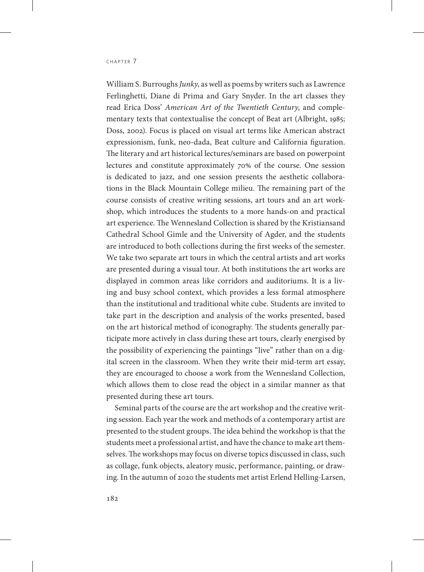William S. Burroughs *Junky*, as well as poems by writers such as Lawrence Ferlinghetti, Diane di Prima and Gary Snyder. In the art classes they read Erica Doss' *American Art of the Twentieth Century*, and complementary texts that contextualise the concept of Beat art (Albright, 1985; Doss, 2002). Focus is placed on visual art terms like American abstract expressionism, funk, neo-dada, Beat culture and California figuration. The literary and art historical lectures/seminars are based on powerpoint lectures and constitute approximately 70% of the course. One session is dedicated to jazz, and one session presents the aesthetic collaborations in the Black Mountain College milieu. The remaining part of the course consists of creative writing sessions, art tours and an art workshop, which introduces the students to a more hands-on and practical art experience. The Wennesland Collection is shared by the Kristiansand Cathedral School Gimle and the University of Agder, and the students are introduced to both collections during the first weeks of the semester. We take two separate art tours in which the central artists and art works are presented during a visual tour. At both institutions the art works are displayed in common areas like corridors and auditoriums. It is a living and busy school context, which provides a less formal atmosphere than the institutional and traditional white cube. Students are invited to take part in the description and analysis of the works presented, based on the art historical method of iconography. The students generally participate more actively in class during these art tours, clearly energised by the possibility of experiencing the paintings "live" rather than on a digital screen in the classroom. When they write their mid-term art essay, they are encouraged to choose a work from the Wennesland Collection, which allows them to close read the object in a similar manner as that presented during these art tours.

Seminal parts of the course are the art workshop and the creative writing session. Each year the work and methods of a contemporary artist are presented to the student groups. The idea behind the workshop is that the students meet a professional artist, and have the chance to make art themselves. The workshops may focus on diverse topics discussed in class, such as collage, funk objects, aleatory music, performance, painting, or drawing. In the autumn of 2020 the students met artist Erlend Helling-Larsen,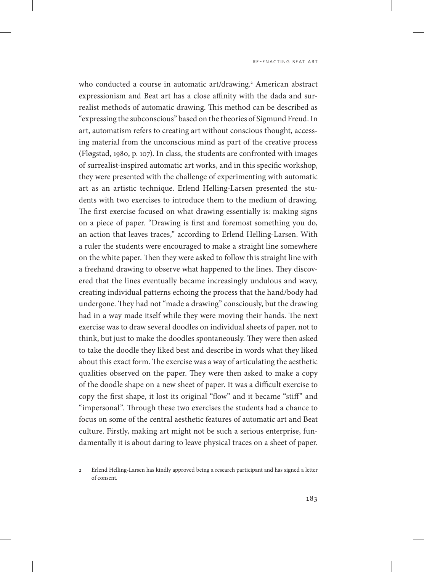who conducted a course in automatic art/drawing.<sup>2</sup> American abstract expressionism and Beat art has a close affinity with the dada and surrealist methods of automatic drawing. This method can be described as "expressing the subconscious" based on the theories of Sigmund Freud. In art, automatism refers to creating art without conscious thought, accessing material from the unconscious mind as part of the creative process (Fløgstad, 1980, p. 107). In class, the students are confronted with images of surrealist-inspired automatic art works, and in this specific workshop, they were presented with the challenge of experimenting with automatic art as an artistic technique. Erlend Helling-Larsen presented the students with two exercises to introduce them to the medium of drawing. The first exercise focused on what drawing essentially is: making signs on a piece of paper. "Drawing is first and foremost something you do, an action that leaves traces," according to Erlend Helling-Larsen. With a ruler the students were encouraged to make a straight line somewhere on the white paper. Then they were asked to follow this straight line with a freehand drawing to observe what happened to the lines. They discovered that the lines eventually became increasingly undulous and wavy, creating individual patterns echoing the process that the hand/body had undergone. They had not "made a drawing" consciously, but the drawing had in a way made itself while they were moving their hands. The next exercise was to draw several doodles on individual sheets of paper, not to think, but just to make the doodles spontaneously. They were then asked to take the doodle they liked best and describe in words what they liked about this exact form. The exercise was a way of articulating the aesthetic qualities observed on the paper. They were then asked to make a copy of the doodle shape on a new sheet of paper. It was a difficult exercise to copy the first shape, it lost its original "flow" and it became "stiff" and "impersonal". Through these two exercises the students had a chance to focus on some of the central aesthetic features of automatic art and Beat culture. Firstly, making art might not be such a serious enterprise, fundamentally it is about daring to leave physical traces on a sheet of paper.

<sup>2</sup> Erlend Helling-Larsen has kindly approved being a research participant and has signed a letter of consent.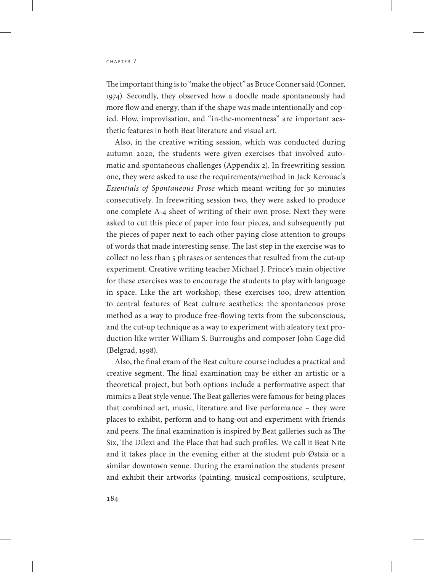The important thing is to "make the object" as Bruce Conner said (Conner, 1974). Secondly, they observed how a doodle made spontaneously had more flow and energy, than if the shape was made intentionally and copied. Flow, improvisation, and "in-the-momentness" are important aesthetic features in both Beat literature and visual art.

Also, in the creative writing session, which was conducted during autumn 2020, the students were given exercises that involved automatic and spontaneous challenges (Appendix 2). In freewriting session one, they were asked to use the requirements/method in Jack Kerouac's *Essentials of Spontaneous Prose* which meant writing for 30 minutes consecutively. In freewriting session two, they were asked to produce one complete A-4 sheet of writing of their own prose. Next they were asked to cut this piece of paper into four pieces, and subsequently put the pieces of paper next to each other paying close attention to groups of words that made interesting sense. The last step in the exercise was to collect no less than 5 phrases or sentences that resulted from the cut-up experiment. Creative writing teacher Michael J. Prince's main objective for these exercises was to encourage the students to play with language in space. Like the art workshop, these exercises too, drew attention to central features of Beat culture aesthetics: the spontaneous prose method as a way to produce free-flowing texts from the subconscious, and the cut-up technique as a way to experiment with aleatory text production like writer William S. Burroughs and composer John Cage did (Belgrad, 1998).

Also, the final exam of the Beat culture course includes a practical and creative segment. The final examination may be either an artistic or a theoretical project, but both options include a performative aspect that mimics a Beat style venue. The Beat galleries were famous for being places that combined art, music, literature and live performance – they were places to exhibit, perform and to hang-out and experiment with friends and peers. The final examination is inspired by Beat galleries such as The Six, The Dilexi and The Place that had such profiles. We call it Beat Nite and it takes place in the evening either at the student pub Østsia or a similar downtown venue. During the examination the students present and exhibit their artworks (painting, musical compositions, sculpture,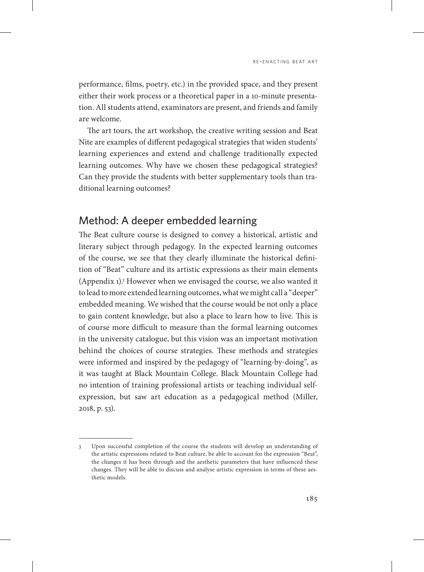performance, films, poetry, etc.) in the provided space, and they present either their work process or a theoretical paper in a 10-minute presentation. All students attend, examinators are present, and friends and family are welcome.

The art tours, the art workshop, the creative writing session and Beat Nite are examples of different pedagogical strategies that widen students' learning experiences and extend and challenge traditionally expected learning outcomes. Why have we chosen these pedagogical strategies? Can they provide the students with better supplementary tools than traditional learning outcomes?

#### Method: A deeper embedded learning

The Beat culture course is designed to convey a historical, artistic and literary subject through pedagogy. In the expected learning outcomes of the course, we see that they clearly illuminate the historical definition of "Beat" culture and its artistic expressions as their main elements (Appendix 1).3 However when we envisaged the course, we also wanted it to lead to more extended learning outcomes, what we might call a "deeper" embedded meaning. We wished that the course would be not only a place to gain content knowledge, but also a place to learn how to live. This is of course more difficult to measure than the formal learning outcomes in the university catalogue, but this vision was an important motivation behind the choices of course strategies. These methods and strategies were informed and inspired by the pedagogy of "learning-by-doing", as it was taught at Black Mountain College. Black Mountain College had no intention of training professional artists or teaching individual selfexpression, but saw art education as a pedagogical method (Miller, 2018, p. 53).

<sup>3</sup> Upon successful completion of the course the students will develop an understanding of the artistic expressions related to Beat culture, be able to account for the expression "Beat", the changes it has been through and the aesthetic parameters that have influenced these changes. They will be able to discuss and analyse artistic expression in terms of these aesthetic models.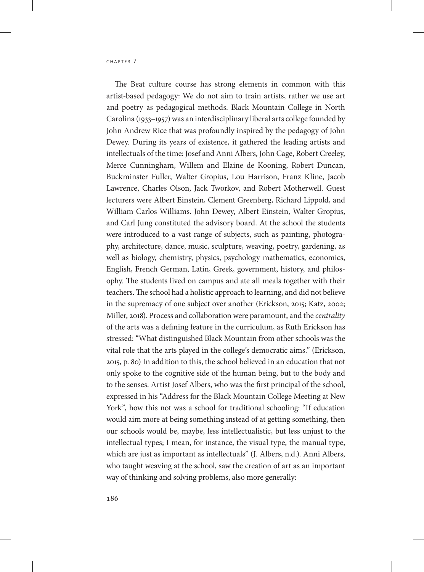The Beat culture course has strong elements in common with this artist-based pedagogy: We do not aim to train artists, rather we use art and poetry as pedagogical methods. Black Mountain College in North Carolina (1933–1957) was an interdisciplinary liberal arts college founded by John Andrew Rice that was profoundly inspired by the pedagogy of John Dewey. During its years of existence, it gathered the leading artists and intellectuals of the time: Josef and Anni Albers, John Cage, Robert Creeley, Merce Cunningham, Willem and Elaine de Kooning, Robert Duncan, Buckminster Fuller, Walter Gropius, Lou Harrison, Franz Kline, Jacob Lawrence, Charles Olson, Jack Tworkov, and Robert Motherwell. Guest lecturers were Albert Einstein, Clement Greenberg, Richard Lippold, and William Carlos Williams. John Dewey, Albert Einstein, Walter Gropius, and Carl Jung constituted the advisory board. At the school the students were introduced to a vast range of subjects, such as painting, photography, architecture, dance, music, sculpture, weaving, poetry, gardening, as well as biology, chemistry, physics, psychology mathematics, economics, English, French German, Latin, Greek, government, history, and philosophy. The students lived on campus and ate all meals together with their teachers. The school had a holistic approach to learning, and did not believe in the supremacy of one subject over another (Erickson, 2015; Katz, 2002; Miller, 2018). Process and collaboration were paramount, and the *centrality* of the arts was a defining feature in the curriculum, as Ruth Erickson has stressed: "What distinguished Black Mountain from other schools was the vital role that the arts played in the college's democratic aims." (Erickson, 2015, p. 80) In addition to this, the school believed in an education that not only spoke to the cognitive side of the human being, but to the body and to the senses. Artist Josef Albers, who was the first principal of the school, expressed in his "Address for the Black Mountain College Meeting at New York", how this not was a school for traditional schooling: "If education would aim more at being something instead of at getting something, then our schools would be, maybe, less intellectualistic, but less unjust to the intellectual types; I mean, for instance, the visual type, the manual type, which are just as important as intellectuals" (J. Albers, n.d.). Anni Albers, who taught weaving at the school, saw the creation of art as an important way of thinking and solving problems, also more generally: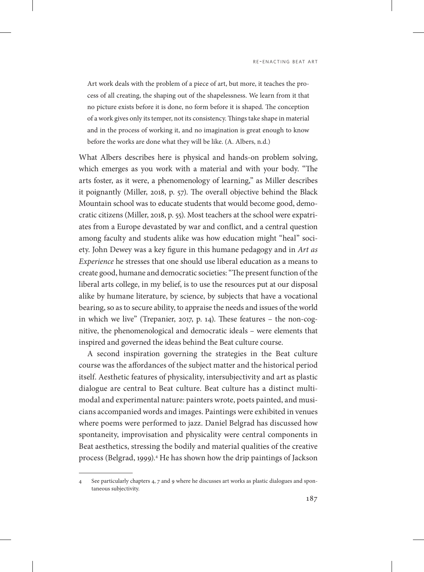Art work deals with the problem of a piece of art, but more, it teaches the process of all creating, the shaping out of the shapelessness. We learn from it that no picture exists before it is done, no form before it is shaped. The conception of a work gives only its temper, not its consistency. Things take shape in material and in the process of working it, and no imagination is great enough to know before the works are done what they will be like. (A. Albers, n.d.)

What Albers describes here is physical and hands-on problem solving, which emerges as you work with a material and with your body. "The arts foster, as it were, a phenomenology of learning," as Miller describes it poignantly (Miller, 2018, p. 57). The overall objective behind the Black Mountain school was to educate students that would become good, democratic citizens (Miller, 2018, p. 55). Most teachers at the school were expatriates from a Europe devastated by war and conflict, and a central question among faculty and students alike was how education might "heal" society. John Dewey was a key figure in this humane pedagogy and in *Art as Experience* he stresses that one should use liberal education as a means to create good, humane and democratic societies: "The present function of the liberal arts college, in my belief, is to use the resources put at our disposal alike by humane literature, by science, by subjects that have a vocational bearing, so as to secure ability, to appraise the needs and issues of the world in which we live" (Trepanier, 2017, p. 14). These features – the non-cognitive, the phenomenological and democratic ideals – were elements that inspired and governed the ideas behind the Beat culture course.

A second inspiration governing the strategies in the Beat culture course was the affordances of the subject matter and the historical period itself. Aesthetic features of physicality, intersubjectivity and art as plastic dialogue are central to Beat culture. Beat culture has a distinct multimodal and experimental nature: painters wrote, poets painted, and musicians accompanied words and images. Paintings were exhibited in venues where poems were performed to jazz. Daniel Belgrad has discussed how spontaneity, improvisation and physicality were central components in Beat aesthetics, stressing the bodily and material qualities of the creative process (Belgrad, 1999).4 He has shown how the drip paintings of Jackson

<sup>4</sup> See particularly chapters 4, 7 and 9 where he discusses art works as plastic dialogues and spontaneous subjectivity.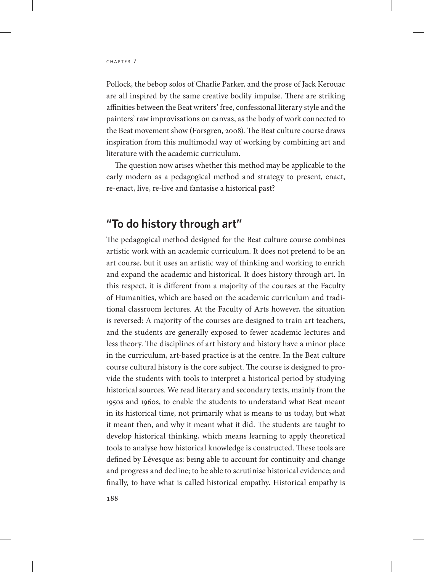Pollock, the bebop solos of Charlie Parker, and the prose of Jack Kerouac are all inspired by the same creative bodily impulse. There are striking affinities between the Beat writers' free, confessional literary style and the painters' raw improvisations on canvas, as the body of work connected to the Beat movement show (Forsgren, 2008). The Beat culture course draws inspiration from this multimodal way of working by combining art and literature with the academic curriculum.

The question now arises whether this method may be applicable to the early modern as a pedagogical method and strategy to present, enact, re-enact, live, re-live and fantasise a historical past?

#### **"To do history through art"**

The pedagogical method designed for the Beat culture course combines artistic work with an academic curriculum. It does not pretend to be an art course, but it uses an artistic way of thinking and working to enrich and expand the academic and historical. It does history through art. In this respect, it is different from a majority of the courses at the Faculty of Humanities, which are based on the academic curriculum and traditional classroom lectures. At the Faculty of Arts however, the situation is reversed: A majority of the courses are designed to train art teachers, and the students are generally exposed to fewer academic lectures and less theory. The disciplines of art history and history have a minor place in the curriculum, art-based practice is at the centre. In the Beat culture course cultural history is the core subject. The course is designed to provide the students with tools to interpret a historical period by studying historical sources. We read literary and secondary texts, mainly from the 1950s and 1960s, to enable the students to understand what Beat meant in its historical time, not primarily what is means to us today, but what it meant then, and why it meant what it did. The students are taught to develop historical thinking, which means learning to apply theoretical tools to analyse how historical knowledge is constructed. These tools are defined by Lévesque as: being able to account for continuity and change and progress and decline; to be able to scrutinise historical evidence; and finally, to have what is called historical empathy. Historical empathy is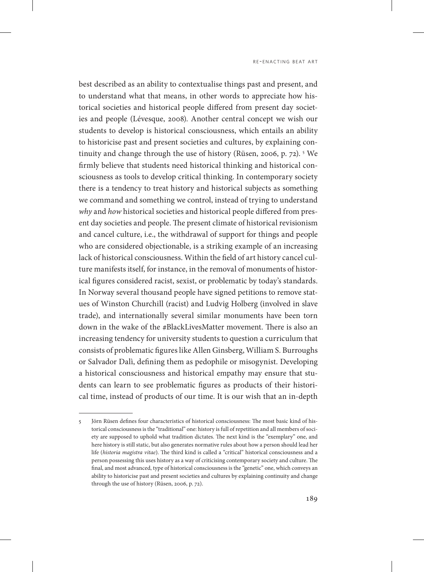best described as an ability to contextualise things past and present, and to understand what that means, in other words to appreciate how historical societies and historical people differed from present day societies and people (Lévesque, 2008). Another central concept we wish our students to develop is historical consciousness, which entails an ability to historicise past and present societies and cultures, by explaining continuity and change through the use of history (Rüsen, 2006, p. 72). 5 We firmly believe that students need historical thinking and historical consciousness as tools to develop critical thinking. In contemporary society there is a tendency to treat history and historical subjects as something we command and something we control, instead of trying to understand *why* and *how* historical societies and historical people differed from present day societies and people. The present climate of historical revisionism and cancel culture, i.e., the withdrawal of support for things and people who are considered objectionable, is a striking example of an increasing lack of historical consciousness. Within the field of art history cancel culture manifests itself, for instance, in the removal of monuments of historical figures considered racist, sexist, or problematic by today's standards. In Norway several thousand people have signed petitions to remove statues of Winston Churchill (racist) and Ludvig Holberg (involved in slave trade), and internationally several similar monuments have been torn down in the wake of the #BlackLivesMatter movement. There is also an increasing tendency for university students to question a curriculum that consists of problematic figures like Allen Ginsberg, William S. Burroughs or Salvador Dalì, defining them as pedophile or misogynist. Developing a historical consciousness and historical empathy may ensure that students can learn to see problematic figures as products of their historical time, instead of products of our time. It is our wish that an in-depth

<sup>5</sup> Jörn Rüsen defines four characteristics of historical consciousness: The most basic kind of historical consciousness is the "traditional" one: history is full of repetition and all members of society are supposed to uphold what tradition dictates. The next kind is the "exemplary" one, and here history is still static, but also generates normative rules about how a person should lead her life (*historia magistra vitae*). The third kind is called a "critical" historical consciousness and a person possessing this uses history as a way of criticising contemporary society and culture. The final, and most advanced, type of historical consciousness is the "genetic" one, which conveys an ability to historicise past and present societies and cultures by explaining continuity and change through the use of history (Rüsen, 2006, p. 72).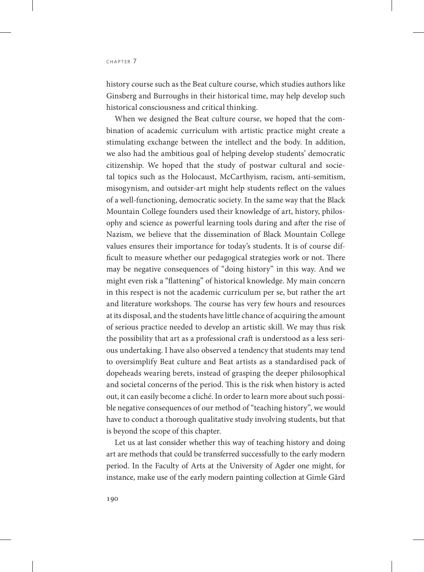history course such as the Beat culture course, which studies authors like Ginsberg and Burroughs in their historical time, may help develop such historical consciousness and critical thinking.

When we designed the Beat culture course, we hoped that the combination of academic curriculum with artistic practice might create a stimulating exchange between the intellect and the body. In addition, we also had the ambitious goal of helping develop students' democratic citizenship. We hoped that the study of postwar cultural and societal topics such as the Holocaust, McCarthyism, racism, anti-semitism, misogynism, and outsider-art might help students reflect on the values of a well-functioning, democratic society. In the same way that the Black Mountain College founders used their knowledge of art, history, philosophy and science as powerful learning tools during and after the rise of Nazism, we believe that the dissemination of Black Mountain College values ensures their importance for today's students. It is of course difficult to measure whether our pedagogical strategies work or not. There may be negative consequences of "doing history" in this way. And we might even risk a "flattening" of historical knowledge. My main concern in this respect is not the academic curriculum per se, but rather the art and literature workshops. The course has very few hours and resources at its disposal, and the students have little chance of acquiring the amount of serious practice needed to develop an artistic skill. We may thus risk the possibility that art as a professional craft is understood as a less serious undertaking. I have also observed a tendency that students may tend to oversimplify Beat culture and Beat artists as a standardised pack of dopeheads wearing berets, instead of grasping the deeper philosophical and societal concerns of the period. This is the risk when history is acted out, it can easily become a cliché. In order to learn more about such possible negative consequences of our method of "teaching history", we would have to conduct a thorough qualitative study involving students, but that is beyond the scope of this chapter.

Let us at last consider whether this way of teaching history and doing art are methods that could be transferred successfully to the early modern period. In the Faculty of Arts at the University of Agder one might, for instance, make use of the early modern painting collection at Gimle Gård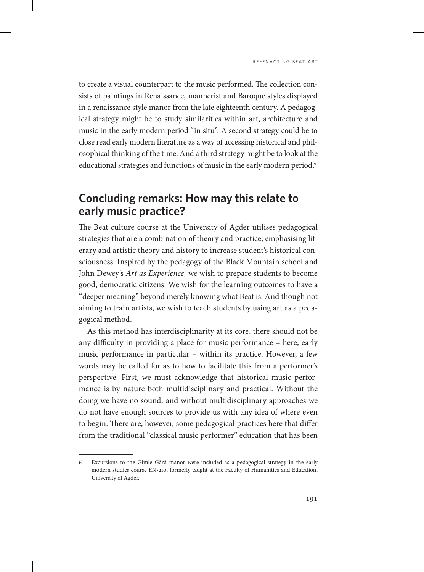to create a visual counterpart to the music performed. The collection consists of paintings in Renaissance, mannerist and Baroque styles displayed in a renaissance style manor from the late eighteenth century. A pedagogical strategy might be to study similarities within art, architecture and music in the early modern period "in situ". A second strategy could be to close read early modern literature as a way of accessing historical and philosophical thinking of the time. And a third strategy might be to look at the educational strategies and functions of music in the early modern period.<sup>6</sup>

## **Concluding remarks: How may this relate to early music practice?**

The Beat culture course at the University of Agder utilises pedagogical strategies that are a combination of theory and practice, emphasising literary and artistic theory and history to increase student's historical consciousness. Inspired by the pedagogy of the Black Mountain school and John Dewey's *Art as Experience,* we wish to prepare students to become good, democratic citizens. We wish for the learning outcomes to have a "deeper meaning" beyond merely knowing what Beat is. And though not aiming to train artists, we wish to teach students by using art as a pedagogical method.

As this method has interdisciplinarity at its core, there should not be any difficulty in providing a place for music performance – here, early music performance in particular – within its practice. However, a few words may be called for as to how to facilitate this from a performer's perspective. First, we must acknowledge that historical music performance is by nature both multidisciplinary and practical. Without the doing we have no sound, and without multidisciplinary approaches we do not have enough sources to provide us with any idea of where even to begin. There are, however, some pedagogical practices here that differ from the traditional "classical music performer" education that has been

<sup>6</sup> Excursions to the Gimle Gård manor were included as a pedagogical strategy in the early modern studies course EN-210, formerly taught at the Faculty of Humanities and Education, University of Agder.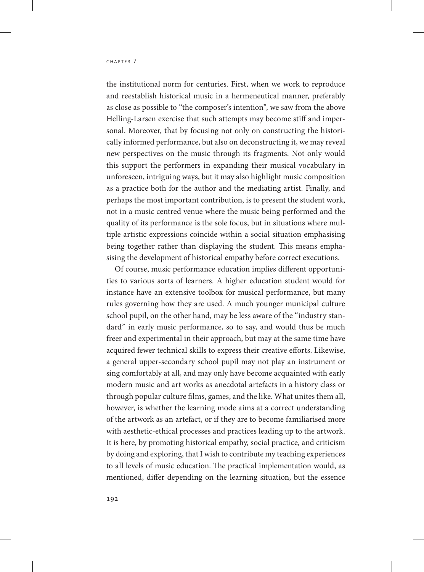the institutional norm for centuries. First, when we work to reproduce and reestablish historical music in a hermeneutical manner, preferably as close as possible to "the composer's intention", we saw from the above Helling-Larsen exercise that such attempts may become stiff and impersonal. Moreover, that by focusing not only on constructing the historically informed performance, but also on deconstructing it, we may reveal new perspectives on the music through its fragments. Not only would this support the performers in expanding their musical vocabulary in unforeseen, intriguing ways, but it may also highlight music composition as a practice both for the author and the mediating artist. Finally, and perhaps the most important contribution, is to present the student work, not in a music centred venue where the music being performed and the quality of its performance is the sole focus, but in situations where multiple artistic expressions coincide within a social situation emphasising being together rather than displaying the student. This means emphasising the development of historical empathy before correct executions.

Of course, music performance education implies different opportunities to various sorts of learners. A higher education student would for instance have an extensive toolbox for musical performance, but many rules governing how they are used. A much younger municipal culture school pupil, on the other hand, may be less aware of the "industry standard" in early music performance, so to say, and would thus be much freer and experimental in their approach, but may at the same time have acquired fewer technical skills to express their creative efforts. Likewise, a general upper-secondary school pupil may not play an instrument or sing comfortably at all, and may only have become acquainted with early modern music and art works as anecdotal artefacts in a history class or through popular culture films, games, and the like. What unites them all, however, is whether the learning mode aims at a correct understanding of the artwork as an artefact, or if they are to become familiarised more with aesthetic-ethical processes and practices leading up to the artwork. It is here, by promoting historical empathy, social practice, and criticism by doing and exploring, that I wish to contribute my teaching experiences to all levels of music education. The practical implementation would, as mentioned, differ depending on the learning situation, but the essence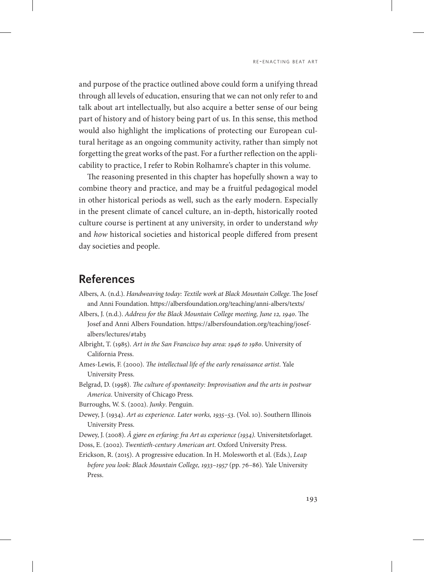and purpose of the practice outlined above could form a unifying thread through all levels of education, ensuring that we can not only refer to and talk about art intellectually, but also acquire a better sense of our being part of history and of history being part of us. In this sense, this method would also highlight the implications of protecting our European cultural heritage as an ongoing community activity, rather than simply not forgetting the great works of the past. For a further reflection on the applicability to practice, I refer to Robin Rolhamre's chapter in this volume.

The reasoning presented in this chapter has hopefully shown a way to combine theory and practice, and may be a fruitful pedagogical model in other historical periods as well, such as the early modern. Especially in the present climate of cancel culture, an in-depth, historically rooted culture course is pertinent at any university, in order to understand *why* and *how* historical societies and historical people differed from present day societies and people.

### **References**

- Albers, A. (n.d.). *Handweaving today: Textile work at Black Mountain College*. The Josef and Anni Foundation.<https://albersfoundation.org/teaching/anni-albers/texts/>
- Albers, J. (n.d.). *Address for the Black Mountain College meeting, June 12, 1940*. The Josef and Anni Albers Foundation. https://albersfoundation.org/teaching/josefalbers/lectures/#tab3
- Albright, T. (1985). *Art in the San Francisco bay area: 1946 to 1980*. University of California Press.
- Ames-Lewis, F. (2000). *The intellectual life of the early renaissance artist*. Yale University Press.
- Belgrad, D. (1998). *The culture of spontaneity: Improvisation and the arts in postwar America*. University of Chicago Press.
- Burroughs, W. S. (2002). *Junky*. Penguin.
- Dewey, J. (1934). *Art as experience. Later works, 1935–53*. (Vol. 10). Southern Illinois University Press.
- Dewey, J. (2008). *Å gjøre en erfaring: fra Art as experience (1934).* Universitetsforlaget.
- Doss, E. (2002). *Twentieth-century American art*. Oxford University Press.
- Erickson, R. (2015). A progressive education. In H. Molesworth et al. (Eds.), *Leap before you look: Black Mountain College, 1933–1957* (pp. 76–86)*.* Yale University Press.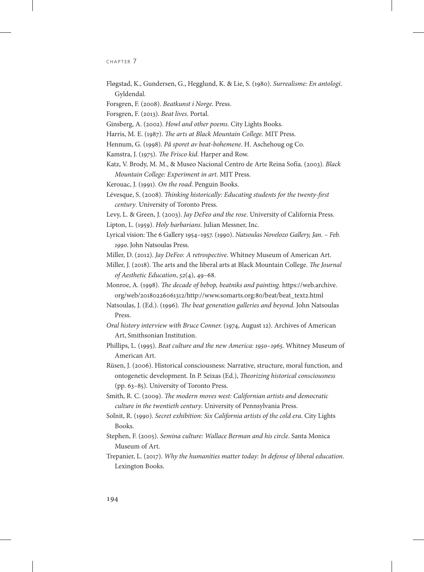#### CHAPTER 7

Fløgstad, K., Gundersen, G., Hegglund, K. & Lie, S. (1980). *Surrealisme: En antologi*. Gyldendal.

Forsgren, F. (2008). *Beatkunst i Norge*. Press.

Forsgren, F. (2013). *Beat lives*. Portal.

Ginsberg, A. (2002). *Howl and other poems*. City Lights Books.

Harris, M. E. (1987). *The arts at Black Mountain College*. MIT Press.

Hennum, G. (1998). *På sporet av beat-bohemene*. H. Aschehoug og Co.

Kamstra, J. (1975). *The Frisco kid*. Harper and Row.

Katz, V. Brody, M. M., & Museo Nacional Centro de Arte Reina Sofía. (2003). *Black Mountain College: Experiment in art.* MIT Press.

Kerouac, J. (1991). *On the road*. Penguin Books.

Lévesque, S. (2008). *Thinking historically: Educating students for the twenty-first century*. University of Toronto Press.

Levy, L. & Green, J. (2003). *Jay DeFeo and the rose*. University of California Press.

Lipton, L. (1959). *Holy barbarians*. Julian Messner, Inc.

- Lyrical vision: The 6 Gallery 1954–1957. (1990). *Natsoulas Novelozo Gallery, Jan. Feb. 1990*. John Natsoulas Press.
- Miller, D. (2012). *Jay DeFeo: A retrospective*. Whitney Museum of American Art.
- Miller, J. (2018). The arts and the liberal arts at Black Mountain College. *The Journal of Aesthetic Education*, *52*(4), 49–68.
- Monroe, A. (1998). *The decade of bebop, beatniks and painting*. [https://web.archive.](https://web.archive.org/web/20180226061312/http://www.somarts.org:80/beat/beat_text2.html) [org/web/20180226061312/http://www.somarts.org:80/beat/beat\\_text2.html](https://web.archive.org/web/20180226061312/http://www.somarts.org:80/beat/beat_text2.html)
- Natsoulas, J. (Ed.). (1996). *The beat generation galleries and beyond*. John Natsoulas Press.
- *Oral history interview with Bruce Conner.* (1974, August 12). Archives of American Art, Smithsonian Institution.
- Phillips, L. (1995). *Beat culture and the new America: 1950*–*1965*. Whitney Museum of American Art.
- Rüsen, J. (2006). Historical consciousness: Narrative, structure, moral function, and ontogenetic development. In P. Seixas (Ed.), *Theorizing historical consciousness* (pp. 63–85). University of Toronto Press.
- Smith, R. C. (2009). *The modern moves west: Californian artists and democratic culture in the twentieth century*. University of Pennsylvania Press.
- Solnit, R. (1990). *Secret exhibition: Six California artists of the cold era*. City Lights Books.
- Stephen, F. (2005). *Semina culture: Wallace Berman and his circle*. Santa Monica Museum of Art.
- Trepanier, L. (2017). *Why the humanities matter today: In defense of liberal education*. Lexington Books.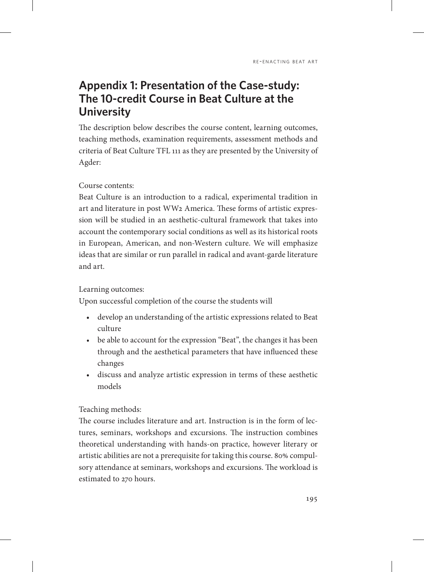# **Appendix 1: Presentation of the Case-study: The 10-credit Course in Beat Culture at the University**

The description below describes the course content, learning outcomes, teaching methods, examination requirements, assessment methods and criteria of Beat Culture TFL 111 as they are presented by the University of Agder:

#### Course contents:

Beat Culture is an introduction to a radical, experimental tradition in art and literature in post WW2 America. These forms of artistic expression will be studied in an aesthetic-cultural framework that takes into account the contemporary social conditions as well as its historical roots in European, American, and non-Western culture. We will emphasize ideas that are similar or run parallel in radical and avant-garde literature and art.

#### Learning outcomes:

Upon successful completion of the course the students will

- develop an understanding of the artistic expressions related to Beat culture
- *•* be able to account for the expression "Beat", the changes it has been through and the aesthetical parameters that have influenced these changes
- discuss and analyze artistic expression in terms of these aesthetic models

#### Teaching methods:

The course includes literature and art. Instruction is in the form of lectures, seminars, workshops and excursions. The instruction combines theoretical understanding with hands-on practice, however literary or artistic abilities are not a prerequisite for taking this course. 80% compulsory attendance at seminars, workshops and excursions. The workload is estimated to 270 hours.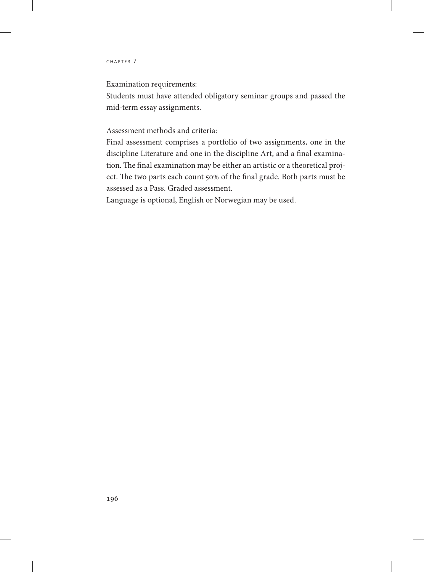#### CHAPTER 7

Examination requirements:

Students must have attended obligatory seminar groups and passed the mid-term essay assignments.

Assessment methods and criteria:

Final assessment comprises a portfolio of two assignments, one in the discipline Literature and one in the discipline Art, and a final examination. The final examination may be either an artistic or a theoretical project. The two parts each count 50% of the final grade. Both parts must be assessed as a Pass. Graded assessment.

Language is optional, English or Norwegian may be used.